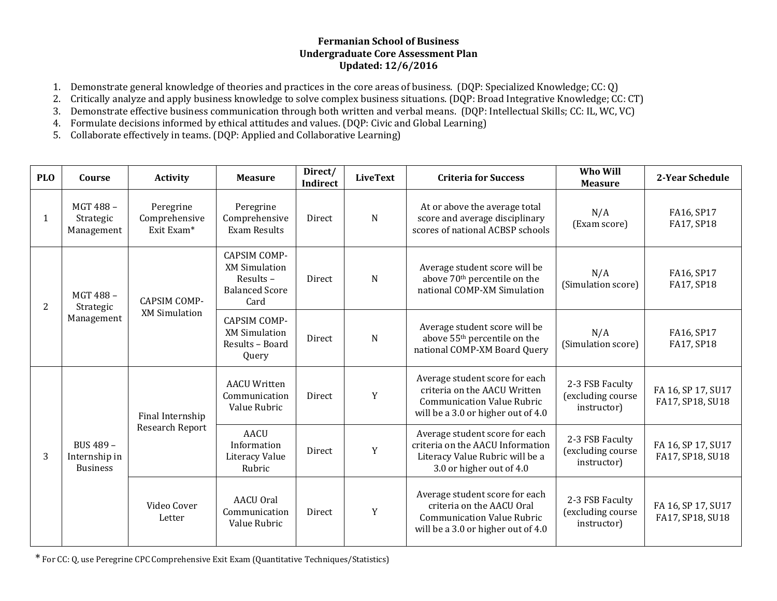## **Fermanian School of Business Undergraduate Core Assessment Plan Updated: 12/6/2016**

- 1. Demonstrate general knowledge of theories and practices in the core areas of business. (DQP: Specialized Knowledge; CC: Q)
- 2. Critically analyze and apply business knowledge to solve complex business situations. (DQP: Broad Integrative Knowledge; CC: CT)
- 3. Demonstrate effective business communication through both written and verbal means. (DQP: Intellectual Skills; CC: IL, WC, VC)
- 4. Formulate decisions informed by ethical attitudes and values. (DQP: Civic and Global Learning)
- 5. Collaborate effectively in teams. (DQP: Applied and Collaborative Learning)

| <b>PLO</b> | Course                                        | <b>Activity</b>                             | <b>Measure</b>                                                                           | Direct/<br><b>Indirect</b> | <b>LiveText</b> | <b>Criteria for Success</b>                                                                                                               | Who Will<br><b>Measure</b>                          | 2-Year Schedule                        |
|------------|-----------------------------------------------|---------------------------------------------|------------------------------------------------------------------------------------------|----------------------------|-----------------|-------------------------------------------------------------------------------------------------------------------------------------------|-----------------------------------------------------|----------------------------------------|
| 1          | MGT 488-<br>Strategic<br>Management           | Peregrine<br>Comprehensive<br>Exit Exam*    | Peregrine<br>Comprehensive<br><b>Exam Results</b>                                        | Direct                     | N               | At or above the average total<br>score and average disciplinary<br>scores of national ACBSP schools                                       | N/A<br>(Exam score)                                 | FA16, SP17<br>FA17, SP18               |
| 2          | MGT 488-<br>Strategic<br>Management           | <b>CAPSIM COMP-</b><br><b>XM Simulation</b> | <b>CAPSIM COMP-</b><br><b>XM Simulation</b><br>Results-<br><b>Balanced Score</b><br>Card | Direct                     | $\mathbf N$     | Average student score will be<br>above 70 <sup>th</sup> percentile on the<br>national COMP-XM Simulation                                  | N/A<br>(Simulation score)                           | FA16, SP17<br>FA17, SP18               |
|            |                                               |                                             | <b>CAPSIM COMP-</b><br><b>XM Simulation</b><br>Results - Board<br>Query                  | Direct                     | ${\bf N}$       | Average student score will be<br>above 55 <sup>th</sup> percentile on the<br>national COMP-XM Board Query                                 | N/A<br>(Simulation score)                           | FA16, SP17<br>FA17, SP18               |
|            | BUS 489 -<br>Internship in<br><b>Business</b> | Final Internship<br>Research Report         | <b>AACU Written</b><br>Communication<br>Value Rubric                                     | Direct                     | Y               | Average student score for each<br>criteria on the AACU Written<br><b>Communication Value Rubric</b><br>will be a 3.0 or higher out of 4.0 | 2-3 FSB Faculty<br>(excluding course<br>instructor) | FA 16, SP 17, SU17<br>FA17, SP18, SU18 |
| 3          |                                               |                                             | <b>AACU</b><br>Information<br><b>Literacy Value</b><br>Rubric                            | <b>Direct</b>              | Y               | Average student score for each<br>criteria on the AACU Information<br>Literacy Value Rubric will be a<br>3.0 or higher out of 4.0         | 2-3 FSB Faculty<br>(excluding course<br>instructor) | FA 16, SP 17, SU17<br>FA17, SP18, SU18 |
|            |                                               | Video Cover<br>Letter                       | <b>AACU Oral</b><br>Communication<br>Value Rubric                                        | Direct                     | Y               | Average student score for each<br>criteria on the AACU Oral<br><b>Communication Value Rubric</b><br>will be a 3.0 or higher out of 4.0    | 2-3 FSB Faculty<br>(excluding course<br>instructor) | FA 16, SP 17, SU17<br>FA17, SP18, SU18 |

\* For CC: Q, use Peregrine CPC Comprehensive Exit Exam (Quantitative Techniques/Statistics)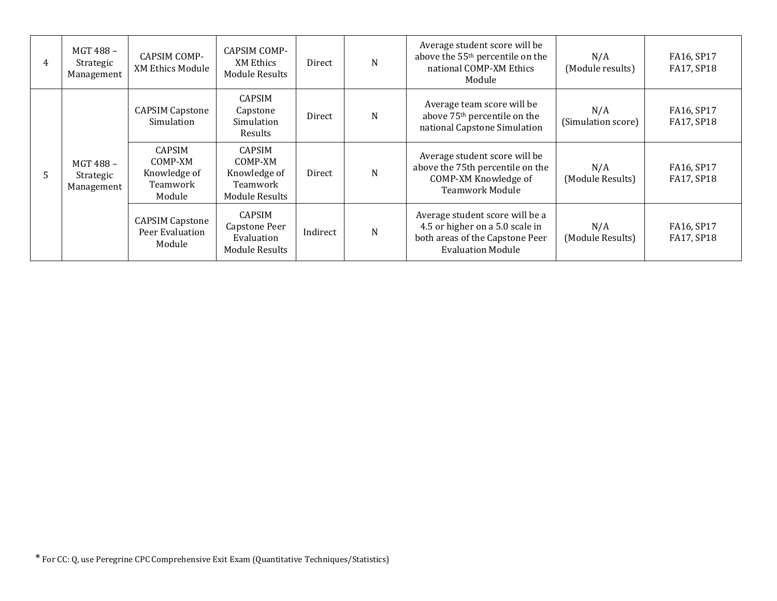| 4 | MGT 488-<br>Strategic<br>Management | <b>CAPSIM COMP-</b><br><b>XM Ethics Module</b>                 | CAPSIM COMP-<br>XM Ethics<br><b>Module Results</b>                            | Direct   | N | Average student score will be<br>above the 55 <sup>th</sup> percentile on the<br>national COMP-XM Ethics<br>Module                | N/A<br>(Module results)   | FA16, SP17<br>FA17, SP18 |
|---|-------------------------------------|----------------------------------------------------------------|-------------------------------------------------------------------------------|----------|---|-----------------------------------------------------------------------------------------------------------------------------------|---------------------------|--------------------------|
|   | MGT 488-<br>Strategic<br>Management | <b>CAPSIM Capstone</b><br>Simulation                           | CAPSIM<br>Capstone<br>Simulation<br>Results                                   | Direct   | N | Average team score will be<br>above 75 <sup>th</sup> percentile on the<br>national Capstone Simulation                            | N/A<br>(Simulation score) | FA16, SP17<br>FA17, SP18 |
| 5 |                                     | <b>CAPSIM</b><br>COMP-XM<br>Knowledge of<br>Teamwork<br>Module | <b>CAPSIM</b><br>COMP-XM<br>Knowledge of<br>Teamwork<br><b>Module Results</b> | Direct   | N | Average student score will be<br>above the 75th percentile on the<br>COMP-XM Knowledge of<br><b>Teamwork Module</b>               | N/A<br>(Module Results)   | FA16, SP17<br>FA17, SP18 |
|   |                                     | <b>CAPSIM Capstone</b><br>Peer Evaluation<br>Module            | <b>CAPSIM</b><br>Capstone Peer<br>Evaluation<br><b>Module Results</b>         | Indirect | N | Average student score will be a<br>4.5 or higher on a 5.0 scale in<br>both areas of the Capstone Peer<br><b>Evaluation Module</b> | N/A<br>(Module Results)   | FA16, SP17<br>FA17, SP18 |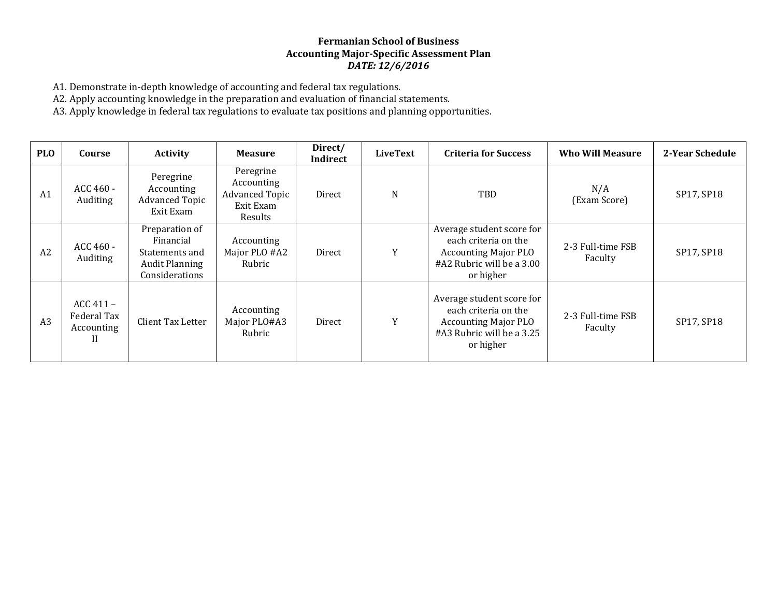### **Fermanian School of Business Accounting Major-Specific Assessment Plan** *DATE: 12/6/2016*

A1. Demonstrate in-depth knowledge of accounting and federal tax regulations.

A2. Apply accounting knowledge in the preparation and evaluation of financial statements.

A3. Apply knowledge in federal tax regulations to evaluate tax positions and planning opportunities.

| <b>PLO</b>     | Course                                        | <b>Activity</b>                                                                          | <b>Measure</b>                                                           | Direct/<br>Indirect | <b>LiveText</b> | <b>Criteria for Success</b>                                                                                                | <b>Who Will Measure</b>      | 2-Year Schedule |
|----------------|-----------------------------------------------|------------------------------------------------------------------------------------------|--------------------------------------------------------------------------|---------------------|-----------------|----------------------------------------------------------------------------------------------------------------------------|------------------------------|-----------------|
| A <sub>1</sub> | ACC 460 -<br>Auditing                         | Peregrine<br>Accounting<br><b>Advanced Topic</b><br>Exit Exam                            | Peregrine<br>Accounting<br><b>Advanced Topic</b><br>Exit Exam<br>Results | Direct              | N               | <b>TBD</b>                                                                                                                 | N/A<br>(Exam Score)          | SP17, SP18      |
| A2             | ACC 460 -<br>Auditing                         | Preparation of<br>Financial<br>Statements and<br><b>Audit Planning</b><br>Considerations | Accounting<br>Major PLO #A2<br>Rubric                                    | Direct              | Y               | Average student score for<br>each criteria on the<br><b>Accounting Major PLO</b><br>#A2 Rubric will be a 3.00<br>or higher | 2-3 Full-time FSB<br>Faculty | SP17, SP18      |
| A3             | $ACC 411 -$<br>Federal Tax<br>Accounting<br>П | Client Tax Letter                                                                        | Accounting<br>Major PLO#A3<br>Rubric                                     | Direct              | Y               | Average student score for<br>each criteria on the<br><b>Accounting Major PLO</b><br>#A3 Rubric will be a 3.25<br>or higher | 2-3 Full-time FSB<br>Faculty | SP17, SP18      |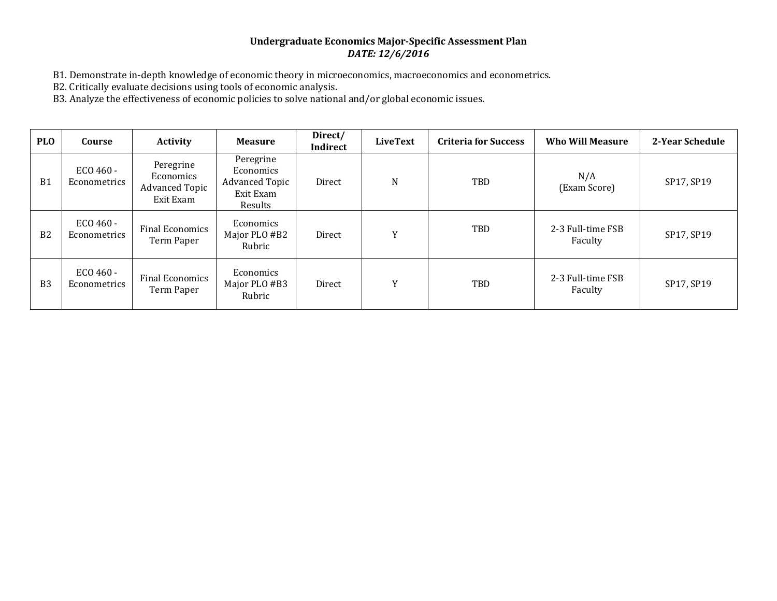## **Undergraduate Economics Major-Specific Assessment Plan** *DATE: 12/6/2016*

B1. Demonstrate in-depth knowledge of economic theory in microeconomics, macroeconomics and econometrics.

B2. Critically evaluate decisions using tools of economic analysis.

B3. Analyze the effectiveness of economic policies to solve national and/or global economic issues.

| <b>PLO</b>     | Course                           | <b>Activity</b>                                              | <b>Measure</b>                                                                 | Direct/<br>Indirect | <b>LiveText</b> | <b>Criteria for Success</b> | <b>Who Will Measure</b>      | 2-Year Schedule |
|----------------|----------------------------------|--------------------------------------------------------------|--------------------------------------------------------------------------------|---------------------|-----------------|-----------------------------|------------------------------|-----------------|
| B <sub>1</sub> | ECO 460 -<br><b>Econometrics</b> | Peregrine<br>Economics<br><b>Advanced Topic</b><br>Exit Exam | Peregrine<br><b>Economics</b><br><b>Advanced Topic</b><br>Exit Exam<br>Results | Direct              | $\mathbf N$     | TBD                         | N/A<br>(Exam Score)          | SP17, SP19      |
| B <sub>2</sub> | ECO 460 -<br>Econometrics        | <b>Final Economics</b><br>Term Paper                         | Economics<br>Major PLO #B2<br>Rubric                                           | Direct              | Y               | <b>TBD</b>                  | 2-3 Full-time FSB<br>Faculty | SP17, SP19      |
| B <sub>3</sub> | ECO 460 -<br>Econometrics        | Final Economics<br>Term Paper                                | Economics<br>Major PLO #B3<br>Rubric                                           | Direct              | Y               | TBD                         | 2-3 Full-time FSB<br>Faculty | SP17, SP19      |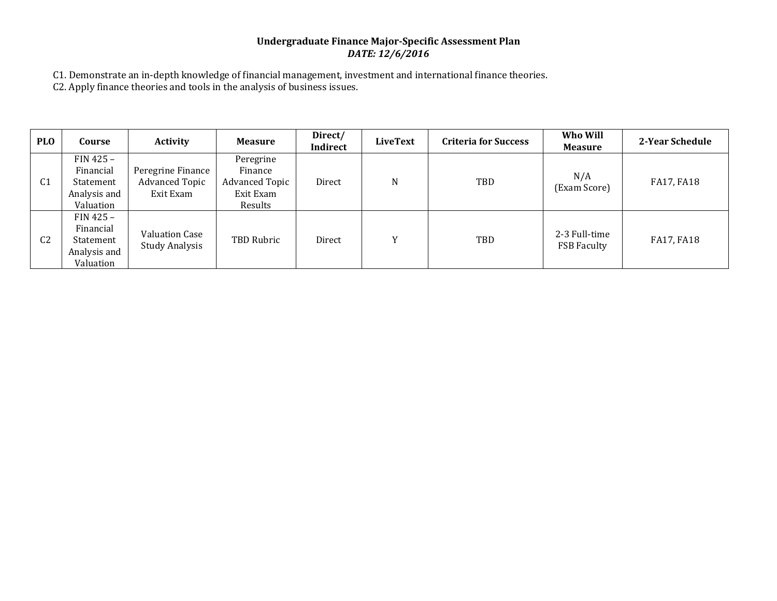# **Undergraduate Finance Major-Specific Assessment Plan** *DATE: 12/6/2016*

C1. Demonstrate an in-depth knowledge of financial management, investment and international finance theories.

C2. Apply finance theories and tools in the analysis of business issues.

| <b>PLO</b>     | Course                                                             | <b>Activity</b>                                         | <b>Measure</b>                                                        | Direct/<br>Indirect | LiveText       | <b>Criteria for Success</b> | Who Will<br><b>Measure</b>          | 2-Year Schedule |
|----------------|--------------------------------------------------------------------|---------------------------------------------------------|-----------------------------------------------------------------------|---------------------|----------------|-----------------------------|-------------------------------------|-----------------|
| C <sub>1</sub> | FIN 425 -<br>Financial<br>Statement<br>Analysis and<br>Valuation   | Peregrine Finance<br><b>Advanced Topic</b><br>Exit Exam | Peregrine<br>Finance<br><b>Advanced Topic</b><br>Exit Exam<br>Results | Direct              | N              | TBD                         | N/A<br>(Exam Score)                 | FA17, FA18      |
| C <sub>2</sub> | $FIN 425 -$<br>Financial<br>Statement<br>Analysis and<br>Valuation | Valuation Case<br><b>Study Analysis</b>                 | TBD Rubric                                                            | Direct              | $\overline{V}$ | TBD                         | 2-3 Full-time<br><b>FSB Faculty</b> | FA17, FA18      |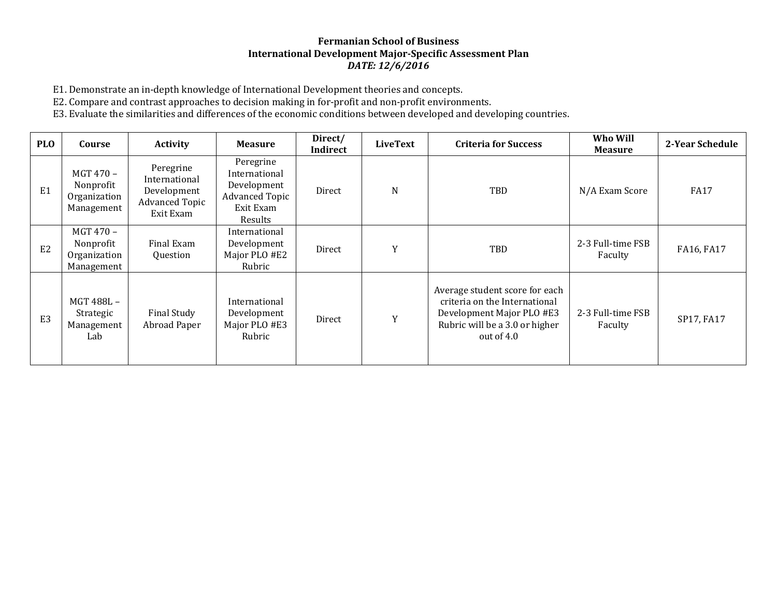### **Fermanian School of Business International Development Major-Specific Assessment Plan** *DATE: 12/6/2016*

E1. Demonstrate an in-depth knowledge of International Development theories and concepts.

E2. Compare and contrast approaches to decision making in for-profit and non-profit environments.

E3. Evaluate the similarities and differences of the economic conditions between developed and developing countries.

| <b>PLO</b>     | Course                                               | <b>Activity</b>                                                                 | <b>Measure</b>                                                                             | Direct/<br>Indirect | LiveText | <b>Criteria for Success</b>                                                                                                                  | Who Will<br><b>Measure</b>   | 2-Year Schedule |
|----------------|------------------------------------------------------|---------------------------------------------------------------------------------|--------------------------------------------------------------------------------------------|---------------------|----------|----------------------------------------------------------------------------------------------------------------------------------------------|------------------------------|-----------------|
| E <sub>1</sub> | MGT 470 -<br>Nonprofit<br>Organization<br>Management | Peregrine<br>International<br>Development<br><b>Advanced Topic</b><br>Exit Exam | Peregrine<br>International<br>Development<br><b>Advanced Topic</b><br>Exit Exam<br>Results | Direct              | N        | TBD                                                                                                                                          | N/A Exam Score               | <b>FA17</b>     |
| E <sub>2</sub> | MGT 470 -<br>Nonprofit<br>Organization<br>Management | Final Exam<br>Question                                                          | International<br>Development<br>Major PLO #E2<br>Rubric                                    | Direct              | Y        | TBD                                                                                                                                          | 2-3 Full-time FSB<br>Faculty | FA16, FA17      |
| E <sub>3</sub> | MGT 488L-<br>Strategic<br>Management<br>Lab          | Final Study<br>Abroad Paper                                                     | International<br>Development<br>Major PLO #E3<br>Rubric                                    | Direct              | Y        | Average student score for each<br>criteria on the International<br>Development Major PLO #E3<br>Rubric will be a 3.0 or higher<br>out of 4.0 | 2-3 Full-time FSB<br>Faculty | SP17, FA17      |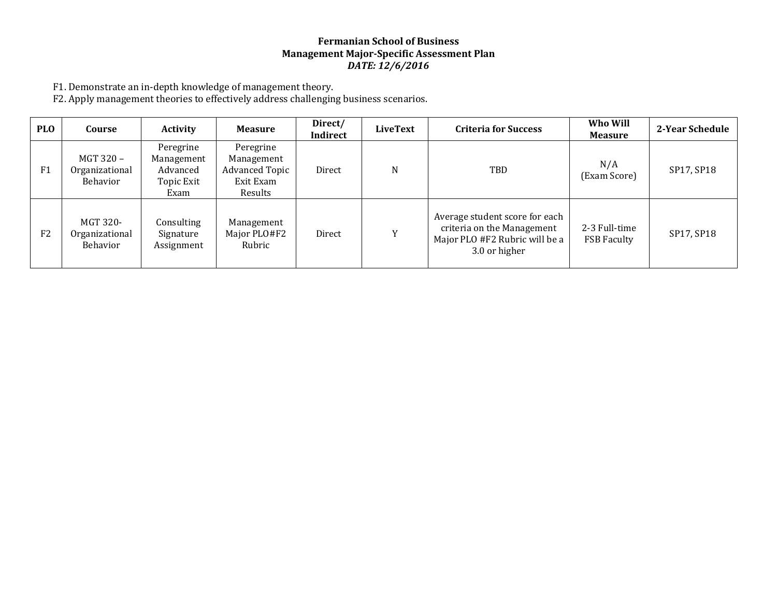## **Fermanian School of Business Management Major-Specific Assessment Plan** *DATE: 12/6/2016*

F1. Demonstrate an in-depth knowledge of management theory.

F2. Apply management theories to effectively address challenging business scenarios.

| <b>PLO</b>     | Course                                  | <b>Activity</b>                                           | <b>Measure</b>                                                           | Direct/<br>Indirect | LiveText     | <b>Criteria for Success</b>                                                                                     | Who Will<br><b>Measure</b>          | 2-Year Schedule |
|----------------|-----------------------------------------|-----------------------------------------------------------|--------------------------------------------------------------------------|---------------------|--------------|-----------------------------------------------------------------------------------------------------------------|-------------------------------------|-----------------|
| F1             | MGT 320 -<br>Organizational<br>Behavior | Peregrine<br>Management<br>Advanced<br>Topic Exit<br>Exam | Peregrine<br>Management<br><b>Advanced Topic</b><br>Exit Exam<br>Results | Direct              | N            | TBD                                                                                                             | N/A<br>(Exam Score)                 | SP17, SP18      |
| F <sub>2</sub> | MGT 320-<br>Organizational<br>Behavior  | Consulting<br>Signature<br>Assignment                     | Management<br>Major PLO#F2<br>Rubric                                     | Direct              | $\mathbf{v}$ | Average student score for each<br>criteria on the Management<br>Major PLO #F2 Rubric will be a<br>3.0 or higher | 2-3 Full-time<br><b>FSB Faculty</b> | SP17, SP18      |